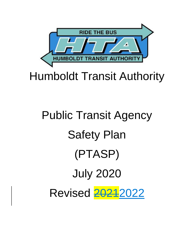

# Humboldt Transit Authority

# Public Transit Agency Safety Plan (PTASP) July 2020 Revised 2021 2022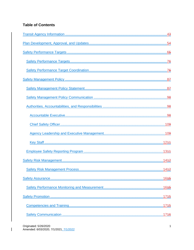### **Table of Contents**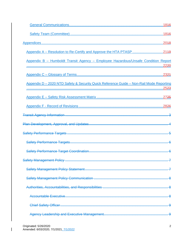| Appendix B - Humboldt Transit Agency - Employee Hazardous/Unsafe Condition Report       |  |
|-----------------------------------------------------------------------------------------|--|
|                                                                                         |  |
| Appendix D - 2020 NTD Safety & Security Quick Reference Guide - Non-Rail Mode Reporting |  |
|                                                                                         |  |
|                                                                                         |  |
|                                                                                         |  |
|                                                                                         |  |
|                                                                                         |  |
|                                                                                         |  |
|                                                                                         |  |
|                                                                                         |  |
|                                                                                         |  |
|                                                                                         |  |
|                                                                                         |  |
|                                                                                         |  |
|                                                                                         |  |
|                                                                                         |  |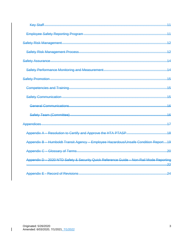|                                                                                         | 15 |
|-----------------------------------------------------------------------------------------|----|
|                                                                                         |    |
|                                                                                         |    |
| General Communications                                                                  | 16 |
|                                                                                         | 16 |
|                                                                                         | 17 |
|                                                                                         |    |
| Appendix B - Humboldt Transit Agency - Employee Hazardous/Unsafe Condition Report19     |    |
|                                                                                         |    |
| Appendix D - 2020 NTD Safety & Security Quick Reference Guide - Non-Rail Mode Reporting |    |
|                                                                                         |    |
|                                                                                         |    |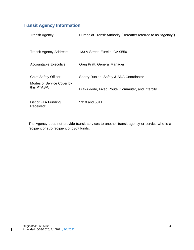# <span id="page-4-0"></span>**Transit Agency Information**

| <b>Transit Agency:</b>                   | Humboldt Transit Authority (Hereafter referred to as "Agency") |
|------------------------------------------|----------------------------------------------------------------|
| <b>Transit Agency Address:</b>           | 133 V Street, Eureka, CA 95501                                 |
| Accountable Executive:                   | Greg Pratt, General Manager                                    |
| <b>Chief Safety Officer:</b>             | Sherry Dunlap, Safety & ADA Coordinator                        |
| Modes of Service Cover by<br>this PTASP: | Dial-A-Ride, Fixed Route, Commuter, and Intercity              |
| List of FTA Funding<br>Received:         | 5310 and 5311                                                  |

The Agency does not provide transit services to another transit agency or service who is a recipient or sub-recipient of 5307 funds.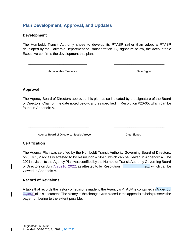# <span id="page-5-0"></span>**Plan Development, Approval, and Updates**

#### **Development**

The Humboldt Transit Authority chose to develop its PTASP rather than adopt a PTASP developed by the California Department of Transportation. By signature below, the Accountable Executive confirms the development this plan.

\_\_\_\_\_\_\_\_\_\_\_\_\_\_\_\_\_\_\_\_\_\_\_\_\_\_\_\_\_\_ \_\_\_\_\_\_\_\_\_\_\_\_\_\_\_\_\_\_\_\_\_\_\_\_\_\_

Accountable Executive **Date Signed Date Signed** 

#### **Approval**

The Agency Board of Directors approved this plan as so indicated by the signature of the Board of Directors' Chair on the date noted below, and as specified in Resolution #20-05, which can be found in Appendix A.

\_\_\_\_\_\_\_\_\_\_\_\_\_\_\_\_\_\_\_\_\_\_\_\_\_\_\_\_\_\_\_ \_\_\_\_\_\_\_\_\_\_\_\_\_\_\_\_\_\_\_\_\_\_\_\_\_\_

Agency Board of Directors, Natalie Arroyo **Date Signed** 

#### **Certification**

The Agency Plan was certified by the Humboldt Transit Authority Governing Board of Directors, on July 1, 2022 as is attested to by Resolution # 20-05 which can be viewed in Appendix A. The 2021 revision to the Agency Plan was certified by the Humboldt Transit Authority Governing Board of Directors on July  $7, 20216, 2022$ , as attested to by Resolution  $\Box$   $\Box$   $\Box$   $\Box$   $\Box$   $\Box$   $\Box$  which can be viewed in Appendix A.

#### **Record of Revisions**

A table that records the history of revisions made to the Agency's PTASP is contained in Appendix  $E_{\text{SD2}E}$  of this document. The history of the changes was placed in the appendix to help preserve the page numbering to the extent possible.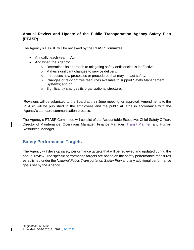#### **Annual Review and Update of the Public Transportation Agency Safety Plan (PTASP)**

The Agency's PTASP will be reviewed by the PTASP Committee:

- Annually, each year in April.
- And when the Agency:
	- o Determines its approach to mitigating safety deficiencies is ineffective;
	- o Makes significant changes to service delivery;
	- o Introduces new processes or procedures that may impact safety;
	- o Changes or re-prioritizes resources available to support Safety Management Systems; and/or,
	- o Significantly changes its organizational structure.

Revisions will be submitted to the Board at their June meeting for approval. Amendments to the PTASP will be published to the employees and the public at large in accordance with the Agency's standard communication process.

The Agency's PTASP Committee will consist of the Accountable Executive, Chief Safety Officer, Director of Maintenance, Operations Manager, Finance Manager, Transit Planner, and Human Resources Manager.

# <span id="page-6-0"></span>**Safety Performance Targets**

The Agency will develop safety performance targets that will be reviewed and updated during the annual review. The specific performance targets are based on the safety performance measures established under the *National Public Transportation Safety Plan* and any additional performance goals set by the Agency.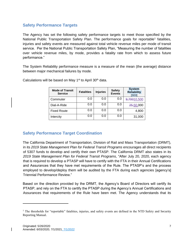#### <span id="page-7-0"></span>**Safety Performance Targets**

The Agency has set the following safety performance targets to meet those specified by the National Public Transportation Safety Plan. The performance goals for reportable<sup>1</sup> fatalities, injuries and safety events are measured against total vehicle revenue miles per mode of transit service. Per the National Public Transportation Safety Plan, "Measuring the number of fatalities over vehicle revenue miles, by mode, provides a fatality rate from which to assess future performance."

The System Reliability performance measure is a measure of the mean (the average) distance between major mechanical failures by mode.

| <b>Mode of Transit</b><br><b>Service</b> | <b>Fatalities</b> | <b>Injuries</b> | <b>Safety</b><br><b>Events</b> | <b>System</b><br><b>Reliability</b><br><b>ISD31</b> |
|------------------------------------------|-------------------|-----------------|--------------------------------|-----------------------------------------------------|
| Commuter                                 | 0.0               | 0.0             | 0.0                            | 9,70010,500                                         |
| Dial-A-Ride                              | 0.0               | 0.0             | 0.0                            | 25,50,000                                           |
| <b>Fixed Route</b>                       | 0.0               | 0.0             | 0.0                            | 4,800                                               |
| Intercity                                | 0.0               | 0.0             | 0.0                            | 31,000                                              |

Calculations will be based on May  $1<sup>st</sup>$  to April 30<sup>th</sup> data.

#### <span id="page-7-1"></span>**Safety Performance Target Coordination**

The California Department of Transportation, Division of Rail and Mass Transportation (DRMT), in its *2019 State Management Plan for Federal Transit Programs* encourages all direct recipients of 5307 funds to develop and certify their own PTASP. The California DRMT also states in its *2019 State Management Plan for Federal Transit Programs*, "After July 20, 2020, each agency that is required to develop a PTASP will have to certify with the FTA in their Annual Certifications and Assurances that they have met requirements of the Rule. The PTASP's and the process employed to develop/deploy them will be audited by the FTA during each agencies [agency's] Triennial Performance Review."

Based on the direction provided by the DRMT, the Agency's Board of Directors will certify its PTASP, and rely on the FTA to certify the PTASP during the Agency's Annual Certifications and Assurances that requirements of the Rule have been met. The Agency understands that its

<sup>&</sup>lt;sup>1</sup> The thresholds for "reportable" fatalities, injuries, and safety events are defined in the NTD Safety and Security Reporting Manual.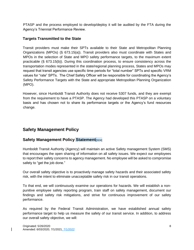PTASP and the process employed to develop/deploy it will be audited by the FTA during the Agency's Triennial Performance Review.

#### **Targets Transmitted to the State**

Transit providers must make their SPTs available to their State and Metropolitan Planning Organizations (MPOs) (§ 673.15(a)). Transit providers also must coordinate with States and MPOs in the selection of State and MPO safety performance targets, to the maximum extent practicable (§ 673.15(b)). During this coordination process, to ensure consistency across the transportation modes represented in the state/regional planning process, States and MPOs may request that transit agencies use specific time periods for "total number" SPTs and specific VRM values for "rate" SPTs. The Chief Safety Officer will be responsible for coordinating the Agency's Safety Performance Targets with the State and appropriate Metropolitan Planning Organization (MPO).

However, since Humboldt Transit Authority does not receive 5307 funds, and they are exempt from the requirement to have a PTASP. The Agency had developed this PTASP on a voluntary basis and has chosen not to share its performance targets or the Agency's fund resources change.

# <span id="page-8-0"></span>**Safety Management Policy**

#### <span id="page-8-1"></span>**Safety Management Policy Statement**[SD4]

Humboldt Transit Authority (Agency) will maintain an active Safety management System (SMS) that encourages the open sharing of information on all safety issues. We expect our employees to report their safety concerns to agency management. No employee will be asked to compromise safety to "get the job done."

Our overall safety objective is to proactively manage safety hazards and their associated safety risk, with the intent to eliminate unacceptable safety risk in our transit operations.

To that end, we will continuously examine our operations for hazards. We will establish a nonpunitive employee safety reporting program, train staff on safety management, document our findings and safety risk mitigations, and strive for continuous improvement of our safety performance.

As required by the Federal Transit Administration, we have established annual safety performance target to help us measure the safety of our transit service. In addition, to address our overall safety objective, we will: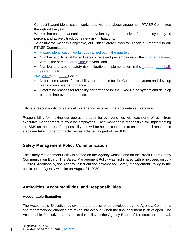- Conduct hazard identification workshops with the labor/management PTASP Committee throughout the year.
- Work to increase the annual number of voluntary reports received from employees by 10 percent and actively track our safety risk mitigations.
- To ensure we meet this objective, our Chief Safety Officer will report out monthly to our PTASP Committee of:
	- Hazard identification workshops carried out in the quarter.
	- Number and type of hazard reports received per employee in the quarterhalf-year, versus the same quarter-time last year; and
	- Number and type of safety risk mitigations implementation in the quarter semi-halfyearannually
- 20212022/2022-2023 Goals
	- Determine reasons for reliability performance for the Commuter system and develop plans to improve performance.
	- Determine reasons for reliability performance for the Fixed Route system and develop plans to improve performance.

Ultimate responsibility for safety at this Agency rests with the Accountable Executive.

Responsibility for making our operations safer for everyone lies with each one of us – from executive management to frontline employees. Each manager is responsible for implementing the SMS on their area of responsibility and will be held accountable to ensure that all reasonable steps are taken to perform activities established as part of the SMS.

#### <span id="page-9-0"></span>**Safety Management Policy Communication**

The Safety Management Policy is posted on the Agency website and on the Break Room Safety Communication Board. The Safety Management Policy was first shared with employees on July 1, 2020. Additionally, the Agency rolled out the new/revised Safety Management Policy to the public on the Agency website on August 31, 2020.

#### <span id="page-9-1"></span>**Authorities, Accountabilities, and Responsibilities**

#### <span id="page-9-2"></span>**Accountable Executive**

The Accountable Executive reviews the draft policy once developed by the Agency. Comments and recommended changes are taken into account when the final document is developed. The Accountable Executive then submits the policy to the Agency Board of Directors for approval.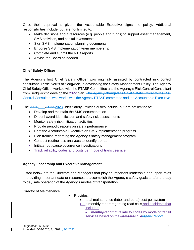Once their approval is given, the Accountable Executive signs the policy. Additional responsibilities include, but are not limited to:

- Make decisions about resources (e.g. people and funds) to support asset management, SMS activities, and capital investments
- Sign SMS implementation planning documents
- Endorse SMS implementation team membership
- Complete and submit the NTD reports
- Advise the Board as needed

#### <span id="page-10-0"></span>**Chief Safety Officer**

The Agency's first Chief Safety Officer was originally assisted by contracted risk control consultant, Terrie Norris of Sedgwick, in developing the Safety Management Policy. The Agency Chief Safety Officer worked with the PTASP Committee and the Agency's Risk Control Consultant from Sedgwick to develop the 2022 plan. The Agency changed its Chief Safety Officer to the Risk Control Consultant who works with the Agency PTASP committee and the Accountable Executive.

The 20212022/2022 2023Chief Safety Officer's duties include, but are not limited to:

- Develop and maintain the SMS documentation
- Direct hazard identification and safety risk assessments
- Monitor safety risk mitigation activities
- Provide periodic reports on safety performance
- Brief the Accountable Executive on SMS implementation progress
- Plan training regarding the Agency's safety management program
- Conduct routine loss analyses to identify trends
- Initiate root cause occurrence investigations
- Track reliability codes and costs per mode of transit service

#### <span id="page-10-1"></span>**Agency Leadership and Executive Management**

Listed below are the Directors and Managers that play an important leadership or support roles in providing important data or resources to accomplish the Agency's safety goals and/or the day to day safe operation of the Agency's modes of transportation.

Director of Maintenance

- Provides:
	- total maintenance (labor and parts) cost per system
	- a monthly report regarding road calls and accidents that includes:
		- monthly report of reliability codes by mode of transit services based on the Samsara RTAreport Report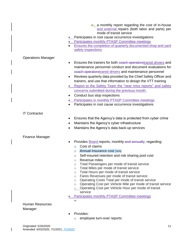|                                   | • a monthly report regarding the cost of in-house<br>and external repairs (both labor and parts) per<br>mode of transit service<br>Participates in root cause occurrence investigations<br>• Participates monthly PTASP Committee meetings<br>Ensures the completion of quarterly documented shop and yard<br>safety inspections                                                                                                                                                                                                                                                                                                                                                                                                     |
|-----------------------------------|--------------------------------------------------------------------------------------------------------------------------------------------------------------------------------------------------------------------------------------------------------------------------------------------------------------------------------------------------------------------------------------------------------------------------------------------------------------------------------------------------------------------------------------------------------------------------------------------------------------------------------------------------------------------------------------------------------------------------------------|
| <b>Operations Manager</b>         | Ensures the trainers for both coach operatorstransit drivers and<br>$\bullet$<br>maintenance personnel conduct and document evaluations for<br>coach operatorstransit drivers and maintenance personnel<br>Reviews quarterly data provided by the Chief Safety Officer and<br>٠<br>trainers, and use that information to design the VTT training<br>Report to the Safety Team the "near miss reports" and safety<br>concerns submitted during the previous month.<br>Conduct bus stop inspections<br>Participates in monthly PTASP Committee meetings<br>Participates in root cause occurrence investigations                                                                                                                        |
| <b>IT Contractor</b>              | Ensures that the Agency's data is protected from cyber crime<br>٠<br>Maintains the Agency's cyber infrastructure<br>$\bullet$<br>Maintains the Agency's data back-up services                                                                                                                                                                                                                                                                                                                                                                                                                                                                                                                                                        |
| <b>Finance Manager</b>            | Provides <b>Board</b> reports, monthly and annually, regarding:<br>Cost of claims<br>$\circ$<br>Annual insurance cost [SD5]<br>O<br>Self-insured retention and risk sharing pool cost<br>$\circ$<br>Revenue miles<br>$\circ$<br>Total Passengers per mode of transit service<br>$\circ$<br>Total Miles per mode of transit service<br>$\circ$<br>Total Hours per mode of transit service<br>$\circ$<br>Fares Revenues per mode of transit service<br>$\circ$<br>Operating Costs Total per mode of transit service<br>$\circ$<br>Operating Cost per Vehicle Mile per mode of transit service<br>$\circ$<br>Operating Cost per Vehicle Hour per mode of transit<br>$\circ$<br>service<br>Participates monthly PTASP Committee meetings |
| <b>Human Resources</b><br>Manager | $\Theta$<br>Provides:                                                                                                                                                                                                                                                                                                                                                                                                                                                                                                                                                                                                                                                                                                                |
|                                   | employee turn-over reports<br>$\circ$                                                                                                                                                                                                                                                                                                                                                                                                                                                                                                                                                                                                                                                                                                |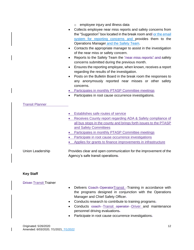|                        | employee injury and illness data<br>$\circ$<br>Collects employee near miss reports and safety concerns from<br>the "Suggestion" box located in the break room and/-or the email<br>system for reporting concerns and provides them to the        |  |  |
|------------------------|--------------------------------------------------------------------------------------------------------------------------------------------------------------------------------------------------------------------------------------------------|--|--|
|                        | Operations Manager and the Safety Team.                                                                                                                                                                                                          |  |  |
| $\bullet$              | Contacts the appropriate manager to assist in the investigation<br>of the near miss or safety concern.                                                                                                                                           |  |  |
| $\bullet$              | Reports to the Safety Team the "near miss reports" and safety<br>concerns submitted during the previous month.                                                                                                                                   |  |  |
| $\bullet$              | Ensures the reporting employee, when known, receives a report<br>regarding the results of the investigation.                                                                                                                                     |  |  |
| $\bullet$<br>$\bullet$ | Posts on the Bulletin Board in the break room the responses to<br>any anonymously reported near misses or other safety<br>concerns.<br>Participates in monthly PTASP Committee meetings<br>Participates in root cause occurrence investigations. |  |  |
| <b>Transit Planner</b> |                                                                                                                                                                                                                                                  |  |  |
|                        | Establishes safe routes of service                                                                                                                                                                                                               |  |  |
|                        | Receives County report regarding ADA & Safety compliance of                                                                                                                                                                                      |  |  |
|                        | all bus stops in the county and brings forth issues to the PTASP<br>and Safety Committees                                                                                                                                                        |  |  |
|                        | Participates in monthly PTASP Committee meetings                                                                                                                                                                                                 |  |  |
|                        | Participate in root cause occurrence investigations                                                                                                                                                                                              |  |  |
|                        | Applies for grants to finance improvements in infrastructure                                                                                                                                                                                     |  |  |
| Union Leadership       | Provides clear and open communication for the improvement of the<br>Agency's safe transit operations-                                                                                                                                            |  |  |

#### <span id="page-12-0"></span>**Key Staff**

#### Driver Transit Trainer

- Delivers Coach Operator Transit Training in accordance with the programs designed in conjunction with the Operations Manager and Chief Safety Officer-
- Conducts research to contribute to training programs.
- Conducts coach Transit operator Driver and maintenance personnel driving evaluations.
- Participate in root cause occurrence investigations-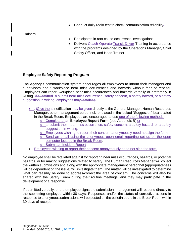• Conduct daily radio test to check communication reliability-

**Trainers** 

- Participates in root cause occurrence investigations.
- Delivers Coach OperatorTransit Driver Training in accordance with the programs designed by the Operations Manager, Chief Safety Officer, and Head Trainer.

#### <span id="page-13-0"></span>**Employee Safety Reporting Program**

The Agency's communication system encourages all employees to inform their managers and supervisors about workplace near miss occurrences and hazards without fear of reprisal. Employees can report workplace near miss occurrences and hazards verbally or preferably in writing. If submitted To submit near miss occurrence, safety concern, a safety hazard, or a safety suggestion in writing, employees may in writing:

- $\div$   $\div$  Give the he notification may be given directly to the General Manager, Human Resources Manager, other management personnel, or placed in the locked "Suggestion" box located in the Break Room. Employees are encouraged to use one of the following methods:
	- o Complete anan **Employee Report Form** (see Appendix B) or
	- $\circ$  to submit their near miss occurrence, safety concern, a safety hazard, or a safety suggestion in writing.
	- o Employees wishing to report their concern anonymously need not sign the form
	- $\circ$  Send an email using the anonymous open email reporting set up on the open computer located in the Break Room.
	- Submit an Incident Report
- Employees wishing to report their concern anonymously need not sign the form,

No employee shall be retaliated against for reporting near miss occurrences, hazards, or potential hazards, or for making suggestions related to safety. The Human Resources Manager will collect the written submissions and along with the appropriate management personnel (appropriateness will be dependent on the issue) will investigate them. The matter will be investigated to determine what can feasibly be done to address/correct the area of concern. The concerns will also be shared with the Safety Team during their routine meetings, and they may participate in the development of a response.

If submitted verbally, or the employee signs the submission, management will respond directly to the submitting employee within 30 days. Responses and/or the status of corrective actions in response to anonymous submissions will be posted on the bulletin board in the Break Room within 30 days of receipt.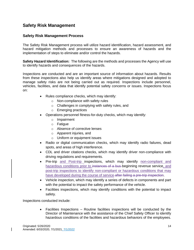# <span id="page-14-0"></span>**Safety Risk Management**

#### <span id="page-14-1"></span>**Safety Risk Management Process**

The Safety Risk Management process will utilize hazard identification, hazard assessment, and hazard mitigation methods and processes to ensure an awareness of hazards and the implementation of steps to eliminate and/or control the hazards.

**Safety Hazard Identification:** The following are the methods and processes the Agency will use to identify hazards and consequences of the hazards.

Inspections are conducted and are an important source of information about hazards. Results from these inspections also help us identify areas where mitigations designed and adopted to manage safety risks are not being carried out as required. Inspections include personnel, vehicles, facilities, and data that identify potential safety concerns or issues. Inspections focus on:

- Rules compliance checks, which may identify:
	- o Non-compliance with safety rules
	- o Challenges in complying with safety rules, and
	- o Emerging practices
- Operations personnel fitness-for-duty checks, which may identify:
	- o Impairment
	- o Fatigue
	- o Absence of corrective lenses
	- o Apparent injuries, and
	- o Uniform or equipment issues
- Radio or digital communication checks, which may identify radio failures, dead spots, and areas of high interference.
- CDL and driver citations checks, which may identify driver non-compliance with driving regulations and requirements.
- Pre-trip and Post-trip inspections, which may identify non-compliant and hazardous conditions prior to instances of a bus beginning revenue service, and post-trip inspections to identify non-compliant or hazardous conditions that may have developed during the course of service-after failing a pre-trip inspection.
- Vehicle inspection, which may identify a series of defects in components and part with the potential to impact the safety performance of the vehicle.
- Facilities inspections, which may identify conditions with the potential to impact safety.

Inspections conducted include:

• Facilities Inspections – Routine facilities inspections will be conducted by the Director of Maintenance with the assistance of the Chief Safety Officer to identify hazardous conditions of the facilities and hazardous behaviors of the employees.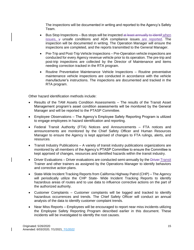The inspections will be documented in writing and reported to the Agency's Safety Team.

- Bus Stop Inspections Bus stops will be inspected at least annually to identif when issues,  $\frac{1}{2}$  unsafe conditions and ADA compliance issues are reported. The inspection will be documented in writing. The Operation Manager will ensure the inspections are completed, and the reports transmitted to the General Manager.
- Pre-Trip and Post-Trip Vehicle Inspections Pre-Operation vehicle inspections are conducted for every Agency revenue vehicle prior to its operation. The pre-trip and post-trip inspections are collected by the Director of Maintenance and items needing correction tracked in the RTA program.
- Routine Preventative Maintenance Vehicle Inspections Routine preventative maintenance vehicle inspections are conducted in accordance with the vehicle manufacturer's instructions. The inspections are documented and tracked in the RTA program.

Other hazard identification methods include:

- Results of the TAM Assets Condition Assessments The results of the Transit Asset Management program's asset condition assessments will be monitored by the General Manager and will be reported to the PTASP Committee.
- Employee Observations The Agency's Employee Safety Reporting Program is utilized to engage employees in hazard identification and reporting.
- Federal Transit Authority (FTA) Notices and Announcements FTA notices and announcements are monitored by the Chief Safety Officer and Human Resources Manager to ensure the Agency is kept apprised of changes to FTA rulings, alerts, and resources.
- Transit Industry Publications A variety of transit industry publications organizations are monitored by all members of the Agency's PTASP Committee to ensure the Committee is kept apprised of changes, resources and identified hazards within the transit industry.
- Driver Evaluations Driver evaluations are conducted semi-annually by the Driver-Transit Trainer and other trainers as assigned by the Operations Manager to identify behaviors and corrective action plans.
- State-Wide Incident Tracking Reports from California Highway Patrol (CHP) The Agency will periodically utilize the CHP State- Wide Incident Tracking Reports to identify hazardous areas of routes and to use data to influence corrective actions on the part of the authorized authority.
- Customer Complaints Customer complaints will be logged and tracked to identify hazardous occurrences and trends. The Chief Safety Officer will conduct an annual analysis of the data to identify customer complaint trends.
- Near Miss Reports Employees will be encouraged to report near miss incidents utilizing the Employee Safety Reporting Program described earlier in this document. These incidents will be investigated to identify the root causes.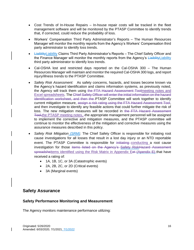- Cost Trends of In-House Repairs In-house repair costs will be tracked in the fleet management software and will be monitored by the PTASP Committee to identify trends that, if corrected, could reduce the probability of loss.
- Workers' Compensation Third Party Administrator's Reports The Human Resources Manager will monitor the monthly reports from the Agency's Workers' Compensation third party administrator to identify loss trends.
- Liaiblity Liability Claims Third Party Administrator's Reports The Chief Safety Officer and the Finance Manager will monitor the monthly reports from the Agency's LiaiblityLiability third party administrator to identify loss trends.
- Cal-OSHA lost and restricted days reported on the Cal-OSHA 300 The Human Resources Manager will maintain and monitor the required Cal-OSHA 300 logs, and report injury/illness trends to the PTASP Committee.
- *Safety Risk Assessment:* As safety concerns, hazards, and losses become known via the Agency's hazard identification and claims information systems, as previously noted, the Agency will track them using the FTA Hazard Assessment Toolmeeting notes and Excel spreadsheets. The Chief Safety Officer will enter the initial information on the hazard identification worksheet, and then the PTASP Committee will work together to identify current mitigation measure, assign a risk rating using the FTA Hazard Assessment Tool, and then investigate to identify any feasible actions that could further mitigate the risk of loss. The new mitigation measures will be recorded in the FTA Hazard Assessment Tool,the PTASP meeting notes, the appropriate management personnel will be assigned to implement the corrective and mitigation measures, and the PTASP committee will continue to monitor the effectiveness of the mitigation and corrective measures using the assurance measures described in this policy.
- *Safety Risk Mitigation (SRM):* The Chief Safety Officer is responsible for initiating root cause investigations for all losses that result in a lost day injury or an NTD reportable event. The PTASP Committee is responsible for initiating conducting a root cause investigation for those items listed on the Agency's Safety RiskHazard Assessment spreadsheitems identified using the Risk Matrix in Appendix Eet (Apendix E) that have received a rating of:
	- 1A, 1B, 1C, or 3A (Catastrophic events)
	- 2A, 2B, 2C, or 2D (Critical events)
	- 3A (Marginal events)

#### <span id="page-16-0"></span>**Safety Assurance**

#### <span id="page-16-1"></span>**Safety Performance Monitoring and Measurement**

The Agency monitors maintenance performance utilizing: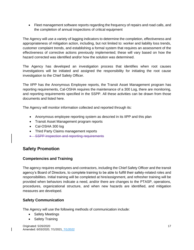• Fleet management software reports regarding the frequency of repairs and road calls, and the completion of annual inspections of critical equipment

The Agency will use a variety of lagging indicators to determine the completion, effectiveness and appropriateness of mitigation action, including, but not limited to: worker and liability loss trends, customer complaint trends, and establishing a formal system that requires an assessment of the effectiveness of corrective actions previously implemented; these will vary based on how the hazard corrected was identified and/or how the solution was determined.

The Agency has developed an investigation process that identifies when root causes investigations will be initiated and assigned the responsibility for initiating the root cause investigation to the Chief Safety Officer.

The IIPP has the Anonymous Employee reports, the Transit Asset Management program has reporting requirements, Cal-OSHA requires the maintenance of a 300 Log, there are monitoring, and reporting requirements specified in the SSPP. All these activities can be drawn from those documents and listed here.

The Agency will monitor information collected and reported through its:

- Anonymous employee reporting system as descried in its IIPP and this plan
- Transit Asset Management program reports
- Cal-OSHA 300 log
- Third Party Claims management reports
- SSPP inspection and reporting requirements

# <span id="page-17-0"></span>**Safety Promotion**

#### <span id="page-17-1"></span>**Competencies and Training**

The agency requires employees and contractors, including the Chief Safety Officer and the transit agency's Board of Directors, to complete training to be able to fulfill their safety-related roles and responsibilities. Initial training will be completed at hire/assignment, and refresher training will be provided when behaviors indicate a need, and/or there are changes to the PTASP, operations, procedures, organizational structure, and when new hazards are identified, and mitigation measures are developed.

#### <span id="page-17-2"></span>**Safety Communication**

The Agency will use the following methods of communication include:

- Safety Meetings
- Safety Training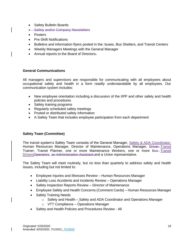- Safety Bulletin Boards
- Safety and/or Company Newsletters
- Posters
- Pre-Shift Notifications
- Bulletins and information flyers posted in the: buses, Bus Shelters, and Transit Centers
- Weekly Managers Meetings with the General Manager
- Annual reports to the Board of Directors-

#### <span id="page-18-0"></span>**General Communications**

All managers and supervisors are responsible for communicating with all employees about occupational safety and health in a form readily understandable by all employees. Our communication system includes:

- New employee orientation including a discussion of the IIPP and other safety and health policies and procedures
- Safety training programs
- Regularly scheduled safety meetings
- Posted or distributed safety information
- A Safety Team that includes employee participation from each department

#### <span id="page-18-1"></span>**Safety Team (Committee)**

The transit system's Safety Team consists of the General Manager, Safety & ADA Coordinator, Human Resources Manager, Director of Maintenance, Operations Manager, Driver-Transit Trainer, Transit Planner, one or more Maintenance Workers, one or more Bus-Transit DriversOperators, an Administration Assistant and a Union representative.

The Safety Team will meet routinely, but no less than quarterly to address safety and health issues, including but not limited to:

- Employee Injuries and Illnesses Review Human Resources Manager
- Liability Loss Accidents and Incidents Review Operations Manager
- Safety Inspection Reports Review Director of Maintenance
- Employee Safety and Health Concerns (Comment Cards) Human Resources Manager
- Safety Training Needs
	- o Safety and Health Safety and ADA Coordinator and Operations Manager
	- o VTT Compliance Operations Manager
- Safety and Health Policies and Procedures Review All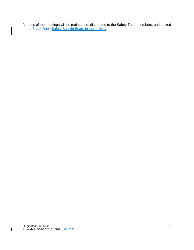Minutes of the meetings will be maintained, distributed to the Safety Team members, and posted in the Break RoomSafety Bulletin Board in the hallway.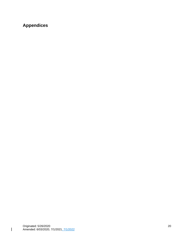# <span id="page-20-0"></span>**Appendices**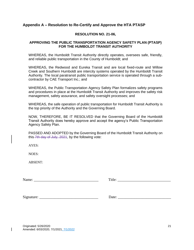#### <span id="page-21-0"></span>**Appendix A – Resolution to Re-Certify and Approve the HTA PTASP**

#### **RESOLUTION NO. 21-06,**

#### **APPROVING THE PUBLIC TRANSPORTATION AGENCY SAFETY PLAN (PTASP) FOR THE HUMBOLDT TRANSIT AUTHORITY**

WHEREAS, the Humboldt Transit Authority directly operates, oversees safe, friendly, and reliable public transportation in the County of Humboldt; and

WHEREAS, the Redwood and Eureka Transit and are local fixed-route and Willow Creek and Southern Humboldt are intercity systems operated by the Humboldt Transit Authority. The local paratransit public transportation service is operated through a subcontractor by CAE Transport Inc.; and

WHEREAS, the Public Transportation Agency Safety Plan formalizes safety programs and procedures in place at the Humboldt Transit Authority and improves the safety risk management, safety assurance, and safety oversight processes; and

WHEREAS, the safe operation of public transportation for Humboldt Transit Authority is the top priority of the Authority and the Governing Board.

NOW, THEREFORE, BE IT RESOLVED that the Governing Board of the Humboldt Transit Authority does hereby approve and accept the agency's Public Transportation Agency Safety Plan.

PASSED AND ADOPTED by the Governing Board of the Humboldt Transit Authority on this 7th day of July, 2021, by the following vote:

 $AYES$ 

NOES:

ABSENT:

Name: Title:

Signature: \_\_\_\_\_\_\_\_\_\_\_\_\_\_\_\_\_\_\_\_\_\_\_\_\_\_\_\_\_\_\_ Date: \_\_\_\_\_\_\_\_\_\_\_\_\_\_\_\_\_\_\_\_\_\_\_\_\_\_\_\_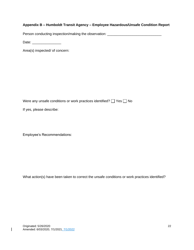# <span id="page-22-0"></span>**Appendix B – Humboldt Transit Agency – Employee Hazardous/Unsafe Condition Report**

Person conducting inspection/making the observation: \_\_\_\_\_\_\_\_\_\_\_\_\_\_\_\_\_\_\_\_\_\_\_\_\_\_\_

Date:  $\Box$ 

Area(s) inspected/ of concern:

Were any unsafe conditions or work practices identified?  $\Box$  Yes  $\Box$  No

If yes, please describe:

Employee's Recommendations:

What action(s) have been taken to correct the unsafe conditions or work practices identified?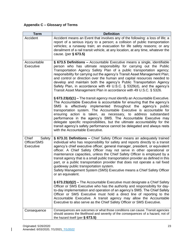#### <span id="page-23-0"></span>**Appendix C – Glossary of Terms**

| <b>Term</b>                                 | <b>Definition</b>                                                                                                                                                                                                                                                                                                                                                                                                                                                                                                                                                                                                                                                                                         |  |  |  |
|---------------------------------------------|-----------------------------------------------------------------------------------------------------------------------------------------------------------------------------------------------------------------------------------------------------------------------------------------------------------------------------------------------------------------------------------------------------------------------------------------------------------------------------------------------------------------------------------------------------------------------------------------------------------------------------------------------------------------------------------------------------------|--|--|--|
| Accident                                    | Accident means an Event that involves any of the following: a loss of life; a<br>report of a serious injury to a person; a collision of public transportation<br>vehicles; a runaway train; an evacuation for life safety reasons; or any<br>derailment of a rail transit vehicle, at any location, at any time, whatever the<br>cause. (per § 673.5)                                                                                                                                                                                                                                                                                                                                                     |  |  |  |
| Accountable<br><b>Executive</b>             | § 673.5 Definitions - Accountable Executive means a single, identifiable<br>person who has ultimate responsibility for carrying out the Public<br>Transportation Agency Safety Plan of a public transportation agency;<br>responsibility for carrying out the agency's Transit Asset Management Plan;<br>and control or direction over the human and capital resources needed to<br>develop and maintain both the agency's Public Transportation Agency<br>Safety Plan, in accordance with 49 U.S.C. § 5329(d), and the agency's<br>Transit Asset Management Plan in accordance with 49 U.S.C. § 5326.                                                                                                    |  |  |  |
|                                             | § 673.23(d)(1) - The transit agency must identify an Accountable Executive.<br>The Accountable Executive is accountable for ensuring that the agency's<br>effectively implemented throughout the agency's public<br>SMS<br>is<br>transportation system. The Accountable Executive is accountable for<br>ensuring action is taken, as necessary, to address substandard<br>performance in the agency's SMS. The Accountable Executive may<br>delegate specific responsibilities, but the ultimate accountability for the<br>transit agency's safety performance cannot be delegated and always rests<br>with the Accountable Executive.                                                                    |  |  |  |
| Chief<br>Safety<br>Officer/SMS<br>Executive | § 673.31 Definitions - Chief Safety Officer means an adequately trained<br>individual who has responsibility for safety and reports directly to a transit<br>agency's chief executive officer, general manager, president, or equivalent<br>officer. A Chief Safety Officer may not serve in other operational or<br>maintenance capacities, unless the Chief Safety Officer is employed by a<br>transit agency that is a small public transportation provider as defined in this<br>part, or a public transportation provider that does not operate a rail fixed<br>guideway public transportation system.<br>Safety Management System (SMS) Executive means a Chief Safety Officer<br>or an equivalent. |  |  |  |
|                                             | § 673.23(d)(2) – The Accountable Executive must designate a Chief Safety<br>Officer or SMS Executive who has the authority and responsibility for day-<br>to-day implementation and operation of an agency's SMS. The Chief Safety<br>Officer or SMS Executive must hold a direct line of reporting to the<br>Accountable Executive. A transit agency may allow the Accountable<br>Executive to also serve as the Chief Safety Officer or SMS Executive.                                                                                                                                                                                                                                                  |  |  |  |
| Consequence                                 | Consequences are outcomes or what those conditions can cause. Transit agencies<br>should assess the likelihood and severity of the consequences of a hazard, not of<br>the hazard itself (per $\S$ 673.5)                                                                                                                                                                                                                                                                                                                                                                                                                                                                                                 |  |  |  |

 $\begin{array}{c} \hline \end{array}$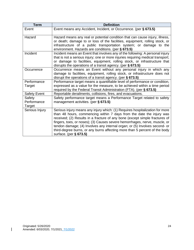| <b>Term</b>                     | <b>Definition</b>                                                                                                                                                                                                                                                                                                                                                                                                                                                                                       |  |  |  |
|---------------------------------|---------------------------------------------------------------------------------------------------------------------------------------------------------------------------------------------------------------------------------------------------------------------------------------------------------------------------------------------------------------------------------------------------------------------------------------------------------------------------------------------------------|--|--|--|
| Event                           | Event means any Accident, Incident, or Occurrence. (per § 673.5)                                                                                                                                                                                                                                                                                                                                                                                                                                        |  |  |  |
| Hazard                          | Hazard means any real or potential condition that can cause injury, illness,<br>or death; damage to or loss of the facilities, equipment, rolling stock, or<br>infrastructure of a public transportation system; or damage to the<br>environment. Hazards are conditions. (per § 673.5)                                                                                                                                                                                                                 |  |  |  |
| Incident                        | Incident means an Event that involves any of the following: A personal injury<br>that is not a serious injury; one or more injuries requiring medical transport;<br>or damage to facilities, equipment, rolling stock, or infrastructure that<br>disrupts the operations of a transit agency. (per $\S$ 673.5)                                                                                                                                                                                          |  |  |  |
| Occurrence                      | Occurrence means an Event without any personal injury in which any<br>damage to facilities, equipment, rolling stock, or infrastructure does not<br>disrupt the operations of a transit agency. (per $\S$ 673.5)                                                                                                                                                                                                                                                                                        |  |  |  |
| Performance<br>Target           | Performance target means a quantifiable level of performance or condition,<br>expressed as a value for the measure, to be achieved within a time period<br>required by the Federal Transit Administration (FTA). (per § 673.5)                                                                                                                                                                                                                                                                          |  |  |  |
| <b>Safety Event</b>             | Reportable derailments, collisions, fires, and evacuations.                                                                                                                                                                                                                                                                                                                                                                                                                                             |  |  |  |
| Safety<br>Performance<br>Target | Safety performance target means a Performance Target related to safety<br>management activities. (per § 673.5)                                                                                                                                                                                                                                                                                                                                                                                          |  |  |  |
| Serious Injury                  | Serious injury means any injury which: (1) Requires hospitalization for more<br>than 48 hours, commencing within 7 days from the date the injury was<br>received; (2) Results in a fracture of any bone (except simple fractures of<br>fingers, toes, or noses); (3) Causes severe hemorrhages, nerve, muscle, or<br>tendon damage; (4) Involves any internal organ; or (5) Involves second- or<br>third-degree burns, or any burns affecting more than 5 percent of the body<br>surface. (per § 673.5) |  |  |  |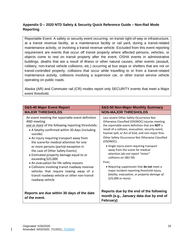#### <span id="page-25-0"></span>**Appendix D – 2020 NTD Safety & Security Quick Reference Guide – Non-Rail Mode Reporting**

Reportable Event: A safety or security event occurring: on transit right-of-way or infrastructure, at a transit revenue facility, at a maintenance facility or rail yard, during a transit-related maintenance activity, or involving a transit revenue vehicle. Excluded from this event reporting requirement are events that occur off transit property where affected persons, vehicles, or objects come to rest on transit property after the event, OSHA events in administrative buildings, deaths that are a result of illness or other natural causes, other events (assault, robbery, non-transit vehicle collisions, etc.) occurring at bus stops or shelters that are not on transit-controlled property, collisions that occur while travelling to or from a transit-related maintenance activity, collisions involving a supervisor car, or other transit service vehicle operating on public roads.

Alaska (AR) and Commuter rail (CR) modes report only SECURITY events that meet a Major event threshold.

| <b>S&amp;S-40 Major Event Report</b>                                                                                                                                                                                                                                                                                                                                                                                                                                                                                                                                                                                                  | <b>S&amp;S-50 Non-Major Monthly Summary</b>                                                                                                                                                                                                                                                                                                                                                                                                                                                                                                                                                                                                     |  |
|---------------------------------------------------------------------------------------------------------------------------------------------------------------------------------------------------------------------------------------------------------------------------------------------------------------------------------------------------------------------------------------------------------------------------------------------------------------------------------------------------------------------------------------------------------------------------------------------------------------------------------------|-------------------------------------------------------------------------------------------------------------------------------------------------------------------------------------------------------------------------------------------------------------------------------------------------------------------------------------------------------------------------------------------------------------------------------------------------------------------------------------------------------------------------------------------------------------------------------------------------------------------------------------------------|--|
| <b>MAJOR THRESHOLDS</b>                                                                                                                                                                                                                                                                                                                                                                                                                                                                                                                                                                                                               | <b>NON-MAJOR THRESHOLDS</b>                                                                                                                                                                                                                                                                                                                                                                                                                                                                                                                                                                                                                     |  |
| An event meeting the reportable event definition<br>AND meeting<br>one or more of the following reporting thresholds:<br>• A fatality confirmed within 30 days (including<br>suicide)<br>• An injury requiring transport away from<br>the scene for medical attention for one<br>or more persons (partial exception in<br>the case of Other Safety Events)<br>• Estimated property damage equal to or<br>exceeding \$25,000<br>• An evacuation for life safety reasons<br>• Collisions involving transit roadway revenue<br>vehicles that require towing away of a<br>transit roadway vehicle or other non-transit<br>roadway vehicle | Less severe Other Safety Occurrence Not<br>Otherwise Classified (OSONOC) injuries meeting<br>the reportable event definition that are NOT a<br>result of a collision, evacuation, security event,<br>hazmat spill, or Act of God, and non-major fires.<br>Other Safety Occurrence Not Otherwise Classified<br>(OSONOC):<br>• Single injury event requiring transport<br>away from the scene for medical<br>attention (do not report "minor"<br>collisions on S&S-50)<br>Fires:<br>. Requiring suppression that do not meet a<br>major incident reporting threshold injury,<br>fatality, evacuation, or property damage of<br>\$25,000 or more). |  |
| Reports are due within 30 days of the date<br>of the event.                                                                                                                                                                                                                                                                                                                                                                                                                                                                                                                                                                           | Reports due by the end of the following<br>month (e.g., January data due by end of<br>February)                                                                                                                                                                                                                                                                                                                                                                                                                                                                                                                                                 |  |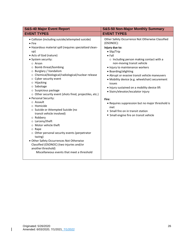| <b>S&amp;S-40 Major Event Report</b>                                                                                                                                                                                                                                                                                                                                                                                                                                                                                                                                                                                                                                                                                                                                                                                                                                 | <b>S&amp;S-50 Non-Major Monthly Summary</b>                                                                                                                                                                                                                                                                                                                                                                                                                                                                                                                                                                        |
|----------------------------------------------------------------------------------------------------------------------------------------------------------------------------------------------------------------------------------------------------------------------------------------------------------------------------------------------------------------------------------------------------------------------------------------------------------------------------------------------------------------------------------------------------------------------------------------------------------------------------------------------------------------------------------------------------------------------------------------------------------------------------------------------------------------------------------------------------------------------|--------------------------------------------------------------------------------------------------------------------------------------------------------------------------------------------------------------------------------------------------------------------------------------------------------------------------------------------------------------------------------------------------------------------------------------------------------------------------------------------------------------------------------------------------------------------------------------------------------------------|
| <b>EVENT TYPES</b>                                                                                                                                                                                                                                                                                                                                                                                                                                                                                                                                                                                                                                                                                                                                                                                                                                                   | <b>EVENT TYPES</b>                                                                                                                                                                                                                                                                                                                                                                                                                                                                                                                                                                                                 |
| • Collision (including suicide/attempted suicide)<br>$•$ Fire<br>• Hazardous material spill (requires specialized clean-<br>up)<br>• Acts of God (nature)<br>• System security:<br>o Arson<br>o Bomb threat/bombing<br>O Burglary / Vandalism<br>o Chemical/biological/radiological/nuclear release<br>o Cyber security event<br>o Hijacking<br>o Sabotage<br>o Suspicious package<br>o Other security event (shots fired, projectiles, etc.)<br>• Personal Security:<br>o Assault<br>o Homicide<br>o Suicide or Attempted Suicide (no<br>transit vehicle involved)<br>o Robbery<br>o Larceny/theft<br>o Motor vehicle theft<br>$\circ$ Rape<br>o Other personal security events (perpetrator<br>tazing)<br>• Other Safety Occurrences Not Otherwise<br>Classified (OSONOC) (two injuries and/or<br>another threshold)<br>Miscellaneous events that meet a threshold | Other Safety Occurrence Not Otherwise Classified<br>(OSONOC):<br>Injury due to:<br>• Slip/Trip<br>$\bullet$ Fall<br>$\circ$ Including person making contact with a<br>non-moving transit vehicle<br>· Injury to maintenance workers<br>• Boarding/alighting<br>• Abrupt or evasive transit vehicle maneuvers<br>• Mobility device (e.g. wheelchair) securement<br>issues<br>. Injury sustained on a mobility device lift<br>· Stairs/elevator/escalator injury<br>Fire:<br>• Requires suppression but no major threshold is<br>met<br>• Small fire on in transit station<br>• Small engine fire on transit vehicle |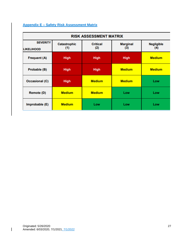#### <span id="page-27-0"></span>**Appendix E – Safety Risk Assessment Matrix**

| <b>RISK ASSESSMENT MATRIX</b>        |                            |                        |                        |                          |
|--------------------------------------|----------------------------|------------------------|------------------------|--------------------------|
| <b>SEVERITY</b><br><b>LIKELIHOOD</b> | <b>Catastrophic</b><br>(1) | <b>Critical</b><br>(2) | <b>Marginal</b><br>(3) | <b>Negligible</b><br>(4) |
| <b>Frequent (A)</b>                  | <b>High</b>                | <b>High</b>            | <b>High</b>            | <b>Medium</b>            |
| Probable (B)                         | <b>High</b>                | <b>High</b>            | <b>Medium</b>          | <b>Medium</b>            |
| <b>Occasional (C)</b>                | <b>High</b>                | <b>Medium</b>          | <b>Medium</b>          | Low                      |
| <b>Remote (D)</b>                    | <b>Medium</b>              | <b>Medium</b>          | Low                    | Low                      |
| Improbable (E)                       | <b>Medium</b>              | Low                    | Low                    | Low                      |

 $\begin{array}{c} \hline \end{array}$